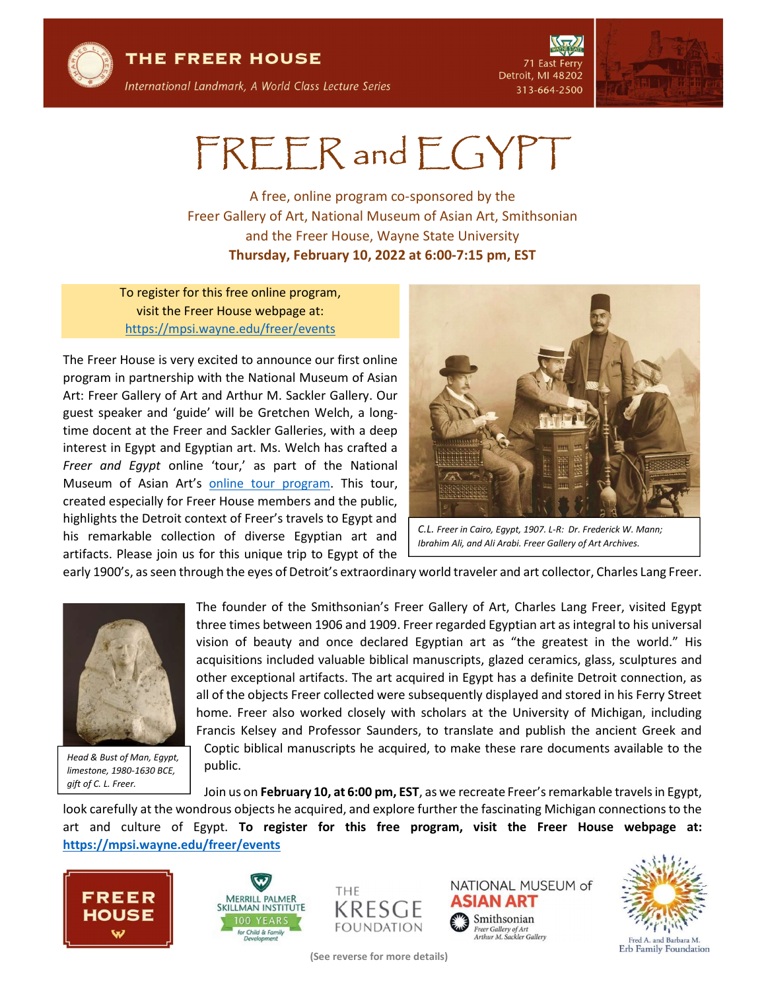

THE FREER HOUSE

71 East Ferry Detroit, MI 48202 313-664-2500



## FREER and EGYPT

A free, online program co-sponsored by the Freer Gallery of Art, National Museum of Asian Art, Smithsonian and the Freer House, Wayne State University Thursday, February 10, 2022 at 6:00-7:15 pm, EST

To register for this free online program, visit the Freer House webpage at: https://mpsi.wayne.edu/freer/events

The Freer House is very excited to announce our first online program in partnership with the National Museum of Asian Art: Freer Gallery of Art and Arthur M. Sackler Gallery. Our guest speaker and 'guide' will be Gretchen Welch, a longtime docent at the Freer and Sackler Galleries, with a deep interest in Egypt and Egyptian art. Ms. Welch has crafted a Freer and Egypt online 'tour,' as part of the National Museum of Asian Art's online tour program. This tour, created especially for Freer House members and the public, highlights the Detroit context of Freer's travels to Egypt and his remarkable collection of diverse Egyptian art and artifacts. Please join us for this unique trip to Egypt of the



C.L. Freer in Cairo, Egypt, 1907. L-R: Dr. Frederick W. Mann; Ibrahim Ali, and Ali Arabi. Freer Gallery of Art Archives.

early 1900's, as seen through the eyes of Detroit's extraordinary world traveler and art collector, Charles Lang Freer.



Head & Bust of Man, Egypt, limestone, 1980-1630 BCE, gift of C. L. Freer.

The founder of the Smithsonian's Freer Gallery of Art, Charles Lang Freer, visited Egypt three times between 1906 and 1909. Freer regarded Egyptian art as integral to his universal vision of beauty and once declared Egyptian art as "the greatest in the world." His acquisitions included valuable biblical manuscripts, glazed ceramics, glass, sculptures and other exceptional artifacts. The art acquired in Egypt has a definite Detroit connection, as all of the objects Freer collected were subsequently displayed and stored in his Ferry Street home. Freer also worked closely with scholars at the University of Michigan, including Francis Kelsey and Professor Saunders, to translate and publish the ancient Greek and Coptic biblical manuscripts he acquired, to make these rare documents available to the public.

Join us on February 10, at 6:00 pm, EST, as we recreate Freer's remarkable travels in Egypt, look carefully at the wondrous objects he acquired, and explore further the fascinating Michigan connections to the art and culture of Egypt. To register for this free program, visit the Freer House webpage at: https://mpsi.wayne.edu/freer/events







(See reverse for more details)





Erb Family Foundation